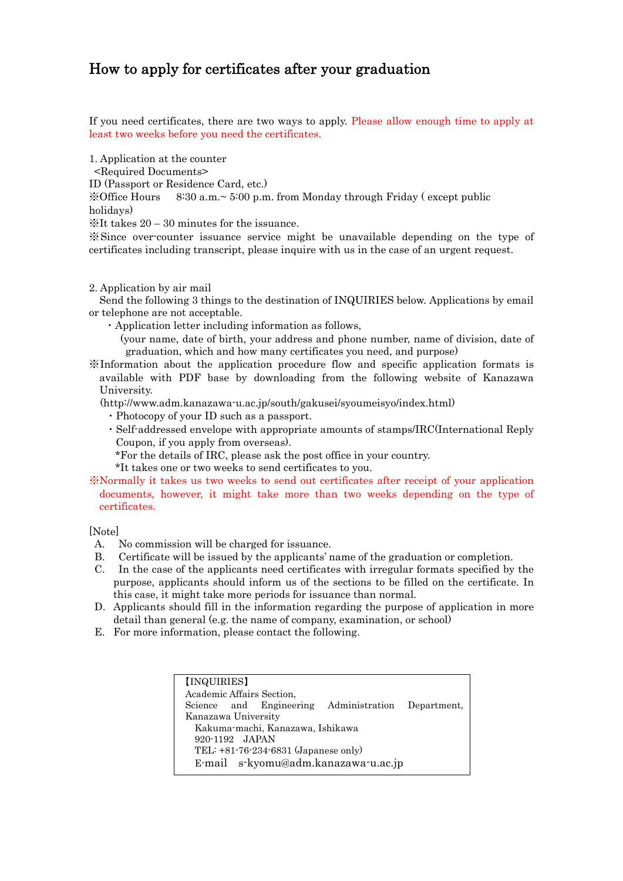## How to apply for certificates after your graduation

If you need certificates, there are two ways to apply. Please allow enough time to apply at least two weeks before you need the certificates.

1. Application at the counter

<Required Documents>

ID (Passport or Residence Card, etc.)

 $\%$  Office Hours 8:30 a.m.~ 5:00 p.m. from Monday through Friday (except public holidays)

※It takes 20 – 30 minutes for the issuance.

※Since over-counter issuance service might be unavailable depending on the type of certificates including transcript, please inquire with us in the case of an urgent request.

## 2. Application by air mail

 Send the following 3 things to the destination of INQUIRIES below. Applications by email or telephone are not acceptable.

- ・Application letter including information as follows,
	- (your name, date of birth, your address and phone number, name of division, date of graduation, which and how many certificates you need, and purpose)
- ※Information about the application procedure flow and specific application formats is available with PDF base by downloading from the following website of Kanazawa University.

(http://www.adm.kanazawa-u.ac.jp/south/gakusei/syoumeisyo/index.html)

- ・Photocopy of your ID such as a passport.
- ・Self-addressed envelope with appropriate amounts of stamps/IRC(International Reply Coupon, if you apply from overseas).
	- \*For the details of IRC, please ask the post office in your country.
	- \*It takes one or two weeks to send certificates to you.
- ※Normally it takes us two weeks to send out certificates after receipt of your application documents, however, it might take more than two weeks depending on the type of certificates.

[Note]

- A. No commission will be charged for issuance.
- B. Certificate will be issued by the applicants' name of the graduation or completion.
- C. In the case of the applicants need certificates with irregular formats specified by the purpose, applicants should inform us of the sections to be filled on the certificate. In this case, it might take more periods for issuance than normal.
- D. Applicants should fill in the information regarding the purpose of application in more detail than general (e.g. the name of company, examination, or school)
- E. For more information, please contact the following.

| [INQUIRIES]                                        |  |  |  |  |  |  |  |
|----------------------------------------------------|--|--|--|--|--|--|--|
| Academic Affairs Section,                          |  |  |  |  |  |  |  |
| Science and Engineering Administration Department, |  |  |  |  |  |  |  |
| Kanazawa University                                |  |  |  |  |  |  |  |
| Kakuma-machi, Kanazawa, Ishikawa                   |  |  |  |  |  |  |  |
| 920-1192 JAPAN                                     |  |  |  |  |  |  |  |
| TEL: +81-76-234-6831 (Japanese only)               |  |  |  |  |  |  |  |
| E-mail s-kyomu@adm.kanazawa-u.ac.jp                |  |  |  |  |  |  |  |